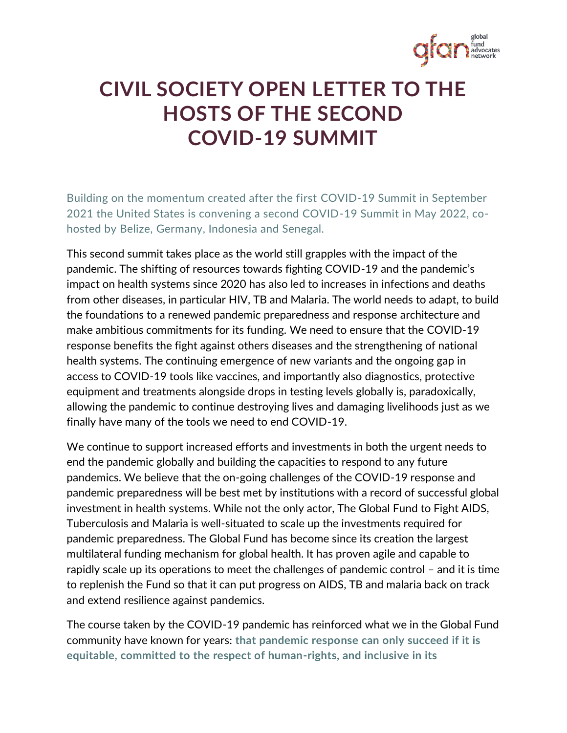

## **CIVIL SOCIETY OPEN LETTER TO THE HOSTS OF THE SECOND COVID-19 SUMMIT**

Building on the momentum created after the first COVID-19 Summit in September 2021 the United States is convening a second COVID-19 Summit in May 2022, cohosted by Belize, Germany, Indonesia and Senegal.

This second summit takes place as the world still grapples with the impact of the pandemic. The shifting of resources towards fighting COVID-19 and the pandemic's impact on health systems since 2020 has also led to increases in infections and deaths from other diseases, in particular HIV, TB and Malaria. The world needs to adapt, to build the foundations to a renewed pandemic preparedness and response architecture and make ambitious commitments for its funding. We need to ensure that the COVID-19 response benefits the fight against others diseases and the strengthening of national health systems. The continuing emergence of new variants and the ongoing gap in access to COVID-19 tools like vaccines, and importantly also diagnostics, protective equipment and treatments alongside drops in testing levels globally is, paradoxically, allowing the pandemic to continue destroying lives and damaging livelihoods just as we finally have many of the tools we need to end COVID-19.

We continue to support increased efforts and investments in both the urgent needs to end the pandemic globally and building the capacities to respond to any future pandemics. We believe that the on-going challenges of the COVID-19 response and pandemic preparedness will be best met by institutions with a record of successful global investment in health systems. While not the only actor, The Global Fund to Fight AIDS, Tuberculosis and Malaria is well-situated to scale up the investments required for pandemic preparedness. The Global Fund has become since its creation the largest multilateral funding mechanism for global health. It has proven agile and capable to rapidly scale up its operations to meet the challenges of pandemic control – and it is time to replenish the Fund so that it can put progress on AIDS, TB and malaria back on track and extend resilience against pandemics.

The course taken by the COVID-19 pandemic has reinforced what we in the Global Fund community have known for years: **that pandemic response can only succeed if it is equitable, committed to the respect of human-rights, and inclusive in its**